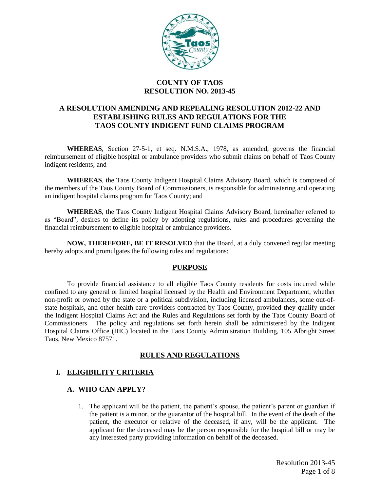

### **COUNTY OF TAOS RESOLUTION NO. 2013-45**

## **A RESOLUTION AMENDING AND REPEALING RESOLUTION 2012-22 AND ESTABLISHING RULES AND REGULATIONS FOR THE TAOS COUNTY INDIGENT FUND CLAIMS PROGRAM**

**WHEREAS**, Section 27-5-1, et seq. N.M.S.A., 1978, as amended, governs the financial reimbursement of eligible hospital or ambulance providers who submit claims on behalf of Taos County indigent residents; and

**WHEREAS**, the Taos County Indigent Hospital Claims Advisory Board, which is composed of the members of the Taos County Board of Commissioners, is responsible for administering and operating an indigent hospital claims program for Taos County; and

**WHEREAS**, the Taos County Indigent Hospital Claims Advisory Board, hereinafter referred to as "Board", desires to define its policy by adopting regulations, rules and procedures governing the financial reimbursement to eligible hospital or ambulance providers.

**NOW, THEREFORE, BE IT RESOLVED** that the Board, at a duly convened regular meeting hereby adopts and promulgates the following rules and regulations:

#### **PURPOSE**

To provide financial assistance to all eligible Taos County residents for costs incurred while confined to any general or limited hospital licensed by the Health and Environment Department, whether non-profit or owned by the state or a political subdivision, including licensed ambulances, some out-ofstate hospitals, and other health care providers contracted by Taos County, provided they qualify under the Indigent Hospital Claims Act and the Rules and Regulations set forth by the Taos County Board of Commissioners. The policy and regulations set forth herein shall be administered by the Indigent Hospital Claims Office (IHC) located in the Taos County Administration Building, 105 Albright Street Taos, New Mexico 87571.

# **RULES AND REGULATIONS**

# **I. ELIGIBILITY CRITERIA**

#### **A. WHO CAN APPLY?**

1. The applicant will be the patient, the patient's spouse, the patient's parent or guardian if the patient is a minor, or the guarantor of the hospital bill. In the event of the death of the patient, the executor or relative of the deceased, if any, will be the applicant. The applicant for the deceased may be the person responsible for the hospital bill or may be any interested party providing information on behalf of the deceased.

> Resolution 2013-45 Page 1 of 8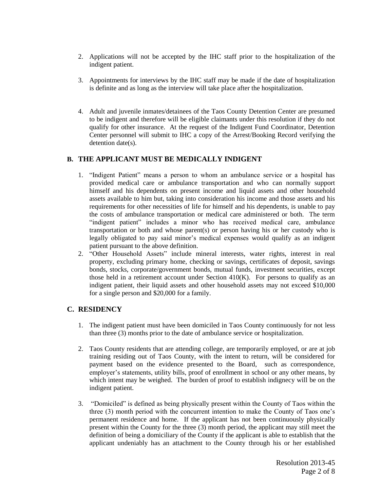- 2. Applications will not be accepted by the IHC staff prior to the hospitalization of the indigent patient.
- 3. Appointments for interviews by the IHC staff may be made if the date of hospitalization is definite and as long as the interview will take place after the hospitalization.
- 4. Adult and juvenile inmates/detainees of the Taos County Detention Center are presumed to be indigent and therefore will be eligible claimants under this resolution if they do not qualify for other insurance. At the request of the Indigent Fund Coordinator, Detention Center personnel will submit to IHC a copy of the Arrest/Booking Record verifying the detention date(s).

## **B. THE APPLICANT MUST BE MEDICALLY INDIGENT**

- 1. "Indigent Patient" means a person to whom an ambulance service or a hospital has provided medical care or ambulance transportation and who can normally support himself and his dependents on present income and liquid assets and other household assets available to him but, taking into consideration his income and those assets and his requirements for other necessities of life for himself and his dependents, is unable to pay the costs of ambulance transportation or medical care administered or both. The term "indigent patient" includes a minor who has received medical care, ambulance transportation or both and whose parent(s) or person having his or her custody who is legally obligated to pay said minor's medical expenses would qualify as an indigent patient pursuant to the above definition.
- 2. "Other Household Assets" include mineral interests, water rights, interest in real property, excluding primary home, checking or savings, certificates of deposit, savings bonds, stocks, corporate/government bonds, mutual funds, investment securities, except those held in a retirement account under Section  $410(K)$ . For persons to qualify as an indigent patient, their liquid assets and other household assets may not exceed \$10,000 for a single person and \$20,000 for a family.

# **C. RESIDENCY**

- 1. The indigent patient must have been domiciled in Taos County continuously for not less than three (3) months prior to the date of ambulance service or hospitalization.
- 2. Taos County residents that are attending college, are temporarily employed, or are at job training residing out of Taos County, with the intent to return, will be considered for payment based on the evidence presented to the Board, such as correspondence, employer's statements, utility bills, proof of enrollment in school or any other means, by which intent may be weighed. The burden of proof to establish indignecy will be on the indigent patient.
- 3. "Domiciled" is defined as being physically present within the County of Taos within the three (3) month period with the concurrent intention to make the County of Taos one's permanent residence and home. If the applicant has not been continuously physically present within the County for the three (3) month period, the applicant may still meet the definition of being a domiciliary of the County if the applicant is able to establish that the applicant undeniably has an attachment to the County through his or her established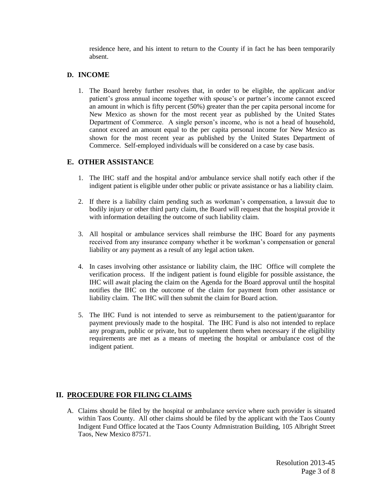residence here, and his intent to return to the County if in fact he has been temporarily absent.

### **D. INCOME**

1. The Board hereby further resolves that, in order to be eligible, the applicant and/or patient's gross annual income together with spouse's or partner's income cannot exceed an amount in which is fifty percent (50%) greater than the per capita personal income for New Mexico as shown for the most recent year as published by the United States Department of Commerce. A single person's income, who is not a head of household, cannot exceed an amount equal to the per capita personal income for New Mexico as shown for the most recent year as published by the United States Department of Commerce. Self-employed individuals will be considered on a case by case basis.

## **E. OTHER ASSISTANCE**

- 1. The IHC staff and the hospital and/or ambulance service shall notify each other if the indigent patient is eligible under other public or private assistance or has a liability claim.
- 2. If there is a liability claim pending such as workman's compensation, a lawsuit due to bodily injury or other third party claim, the Board will request that the hospital provide it with information detailing the outcome of such liability claim.
- 3. All hospital or ambulance services shall reimburse the IHC Board for any payments received from any insurance company whether it be workman's compensation or general liability or any payment as a result of any legal action taken.
- 4. In cases involving other assistance or liability claim, the IHC Office will complete the verification process. If the indigent patient is found eligible for possible assistance, the IHC will await placing the claim on the Agenda for the Board approval until the hospital notifies the IHC on the outcome of the claim for payment from other assistance or liability claim. The IHC will then submit the claim for Board action.
- 5. The IHC Fund is not intended to serve as reimbursement to the patient/guarantor for payment previously made to the hospital. The IHC Fund is also not intended to replace any program, public or private, but to supplement them when necessary if the eligibility requirements are met as a means of meeting the hospital or ambulance cost of the indigent patient.

# **II. PROCEDURE FOR FILING CLAIMS**

A. Claims should be filed by the hospital or ambulance service where such provider is situated within Taos County. All other claims should be filed by the applicant with the Taos County Indigent Fund Office located at the Taos County Admnistration Building, 105 Albright Street Taos, New Mexico 87571.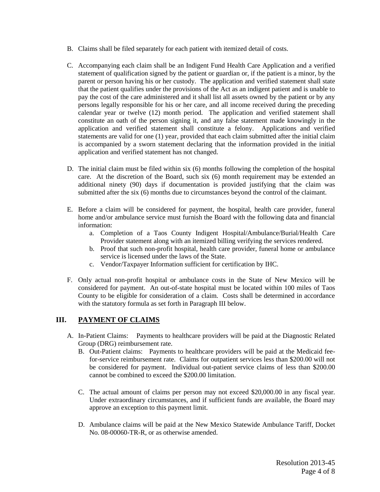- B. Claims shall be filed separately for each patient with itemized detail of costs.
- C. Accompanying each claim shall be an Indigent Fund Health Care Application and a verified statement of qualification signed by the patient or guardian or, if the patient is a minor, by the parent or person having his or her custody. The application and verified statement shall state that the patient qualifies under the provisions of the Act as an indigent patient and is unable to pay the cost of the care administered and it shall list all assets owned by the patient or by any persons legally responsible for his or her care, and all income received during the preceding calendar year or twelve (12) month period. The application and verified statement shall constitute an oath of the person signing it, and any false statement made knowingly in the application and verified statement shall constitute a felony. Applications and verified statements are valid for one (1) year, provided that each claim submitted after the initial claim is accompanied by a sworn statement declaring that the information provided in the initial application and verified statement has not changed.
- D. The initial claim must be filed within six (6) months following the completion of the hospital care. At the discretion of the Board, such six (6) month requirement may be extended an additional ninety (90) days if documentation is provided justifying that the claim was submitted after the six (6) months due to circumstances beyond the control of the claimant.
- E. Before a claim will be considered for payment, the hospital, health care provider, funeral home and/or ambulance service must furnish the Board with the following data and financial information:
	- a. Completion of a Taos County Indigent Hospital/Ambulance/Burial/Health Care Provider statement along with an itemized billing verifying the services rendered.
	- b. Proof that such non-profit hospital, health care provider, funeral home or ambulance service is licensed under the laws of the State.
	- c. Vendor/Taxpayer Information sufficient for certification by IHC.
- F. Only actual non-profit hospital or ambulance costs in the State of New Mexico will be considered for payment. An out-of-state hospital must be located within 100 miles of Taos County to be eligible for consideration of a claim. Costs shall be determined in accordance with the statutory formula as set forth in Paragraph III below.

#### **III. PAYMENT OF CLAIMS**

- A. In-Patient Claims: Payments to healthcare providers will be paid at the Diagnostic Related Group (DRG) reimbursement rate.
	- B. Out-Patient claims: Payments to healthcare providers will be paid at the Medicaid feefor-service reimbursement rate. Claims for outpatient services less than \$200.00 will not be considered for payment. Individual out-patient service claims of less than \$200.00 cannot be combined to exceed the \$200.00 limitation.
	- C. The actual amount of claims per person may not exceed \$20,000.00 in any fiscal year. Under extraordinary circumstances, and if sufficient funds are available, the Board may approve an exception to this payment limit.
	- D. Ambulance claims will be paid at the New Mexico Statewide Ambulance Tariff, Docket No. 08-00060-TR-R, or as otherwise amended.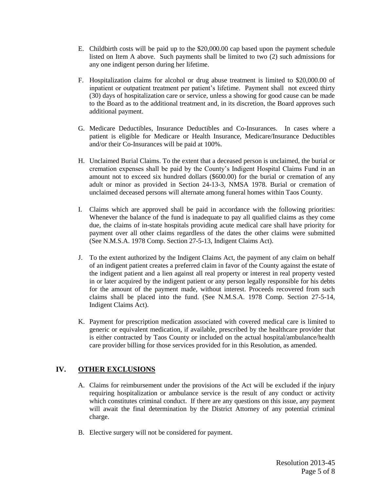- E. Childbirth costs will be paid up to the \$20,000.00 cap based upon the payment schedule listed on Item A above. Such payments shall be limited to two (2) such admissions for any one indigent person during her lifetime.
- F. Hospitalization claims for alcohol or drug abuse treatment is limited to \$20,000.00 of inpatient or outpatient treatment per patient's lifetime. Payment shall not exceed thirty (30) days of hospitalization care or service, unless a showing for good cause can be made to the Board as to the additional treatment and, in its discretion, the Board approves such additional payment.
- G. Medicare Deductibles, Insurance Deductibles and Co-Insurances. In cases where a patient is eligible for Medicare or Health Insurance, Medicare/Insurance Deductibles and/or their Co-Insurances will be paid at 100%.
- H. Unclaimed Burial Claims. To the extent that a deceased person is unclaimed, the burial or cremation expenses shall be paid by the County's Indigent Hospital Claims Fund in an amount not to exceed six hundred dollars (\$600.00) for the burial or cremation of any adult or minor as provided in Section 24-13-3, NMSA 1978. Burial or cremation of unclaimed deceased persons will alternate among funeral homes within Taos County.
- I. Claims which are approved shall be paid in accordance with the following priorities: Whenever the balance of the fund is inadequate to pay all qualified claims as they come due, the claims of in-state hospitals providing acute medical care shall have priority for payment over all other claims regardless of the dates the other claims were submitted (See N.M.S.A. 1978 Comp. Section 27-5-13, Indigent Claims Act).
- J. To the extent authorized by the Indigent Claims Act, the payment of any claim on behalf of an indigent patient creates a preferred claim in favor of the County against the estate of the indigent patient and a lien against all real property or interest in real property vested in or later acquired by the indigent patient or any person legally responsible for his debts for the amount of the payment made, without interest. Proceeds recovered from such claims shall be placed into the fund. (See N.M.S.A. 1978 Comp. Section 27-5-14, Indigent Claims Act).
- K. Payment for prescription medication associated with covered medical care is limited to generic or equivalent medication, if available, prescribed by the healthcare provider that is either contracted by Taos County or included on the actual hospital/ambulance/health care provider billing for those services provided for in this Resolution, as amended.

# **IV. OTHER EXCLUSIONS**

- A. Claims for reimbursement under the provisions of the Act will be excluded if the injury requiring hospitalization or ambulance service is the result of any conduct or activity which constitutes criminal conduct. If there are any questions on this issue, any payment will await the final determination by the District Attorney of any potential criminal charge.
- B. Elective surgery will not be considered for payment.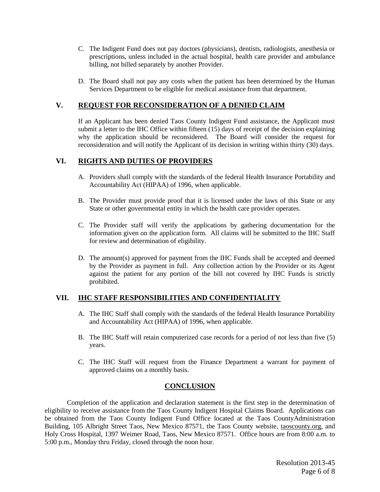- C. The Indigent Fund does not pay doctors (physicians), dentists, radiologists, anesthesia or prescriptions, unless included in the actual hospital, health care provider and ambulance billing, not billed separately by another Provider.
- D. The Board shall not pay any costs when the patient has been determined by the Human Services Department to be eligible for medical assistance from that department.

#### **V. REQUEST FOR RECONSIDERATION OF A DENIED CLAIM**

If an Applicant has been denied Taos County Indigent Fund assistance, the Applicant must submit a letter to the IHC Office within fifteen (15) days of receipt of the decision explaining why the application should be reconsidered. The Board will consider the request for reconsideration and will notify the Applicant of its decision in writing within thirty (30) days.

### **VI. RIGHTS AND DUTIES OF PROVIDERS**

- A. Providers shall comply with the standards of the federal Health Insurance Portability and Accountability Act (HIPAA) of 1996, when applicable.
- B. The Provider must provide proof that it is licensed under the laws of this State or any State or other governmental entity in which the health care provider operates.
- C. The Provider staff will verify the applications by gathering documentation for the information given on the application form. All claims will be submitted to the IHC Staff for review and determination of eligibility.
- D. The amount(s) approved for payment from the IHC Funds shall be accepted and deemed by the Provider as payment in full. Any collection action by the Provider or its Agent against the patient for any portion of the bill not covered by IHC Funds is strictly prohibited.

### **VII. IHC STAFF RESPONSIBILITIES AND CONFIDENTIALITY**

- A. The IHC Staff shall comply with the standards of the federal Health Insurance Portability and Accountability Act (HIPAA) of 1996, when applicable.
- B. The IHC Staff will retain computerized case records for a period of not less than five (5) years.
- C. The IHC Staff will request from the Finance Department a warrant for payment of approved claims on a monthly basis.

#### **CONCLUSION**

Completion of the application and declaration statement is the first step in the determination of eligibility to receive assistance from the Taos County Indigent Hospital Claims Board. Applications can be obtained from the Taos County Indigent Fund Office located at the Taos CountyAdministration Building, 105 Albright Street Taos, New Mexico 87571, the Taos County website, taoscounty.org, and Holy Cross Hospital, 1397 Weimer Road, Taos, New Mexico 87571. Office hours are from 8:00 a.m. to 5:00 p.m., Monday thru Friday, closed through the noon hour.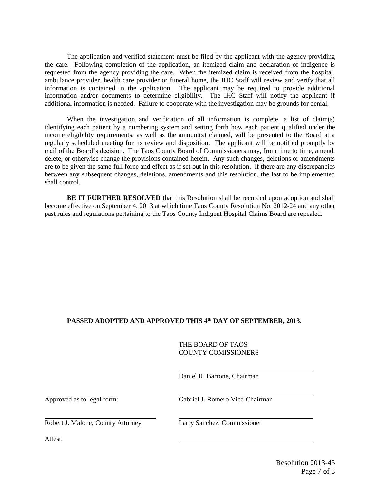The application and verified statement must be filed by the applicant with the agency providing the care. Following completion of the application, an itemized claim and declaration of indigence is requested from the agency providing the care. When the itemized claim is received from the hospital, ambulance provider, health care provider or funeral home, the IHC Staff will review and verify that all information is contained in the application. The applicant may be required to provide additional information and/or documents to determine eligibility. The IHC Staff will notify the applicant if additional information is needed. Failure to cooperate with the investigation may be grounds for denial.

When the investigation and verification of all information is complete, a list of claim(s) identifying each patient by a numbering system and setting forth how each patient qualified under the income eligibility requirements, as well as the amount(s) claimed, will be presented to the Board at a regularly scheduled meeting for its review and disposition. The applicant will be notified promptly by mail of the Board's decision. The Taos County Board of Commissioners may, from time to time, amend, delete, or otherwise change the provisions contained herein. Any such changes, deletions or amendments are to be given the same full force and effect as if set out in this resolution. If there are any discrepancies between any subsequent changes, deletions, amendments and this resolution, the last to be implemented shall control.

**BE IT FURTHER RESOLVED** that this Resolution shall be recorded upon adoption and shall become effective on September 4, 2013 at which time Taos County Resolution No. 2012-24 and any other past rules and regulations pertaining to the Taos County Indigent Hospital Claims Board are repealed.

#### **PASSED ADOPTED AND APPROVED THIS 4 th DAY OF SEPTEMBER, 2013.**

#### THE BOARD OF TAOS COUNTY COMISSIONERS

Daniel R. Barrone, Chairman

Approved as to legal form: Gabriel J. Romero Vice-Chairman

Robert J. Malone, County Attorney Larry Sanchez, Commissioner

Attest: